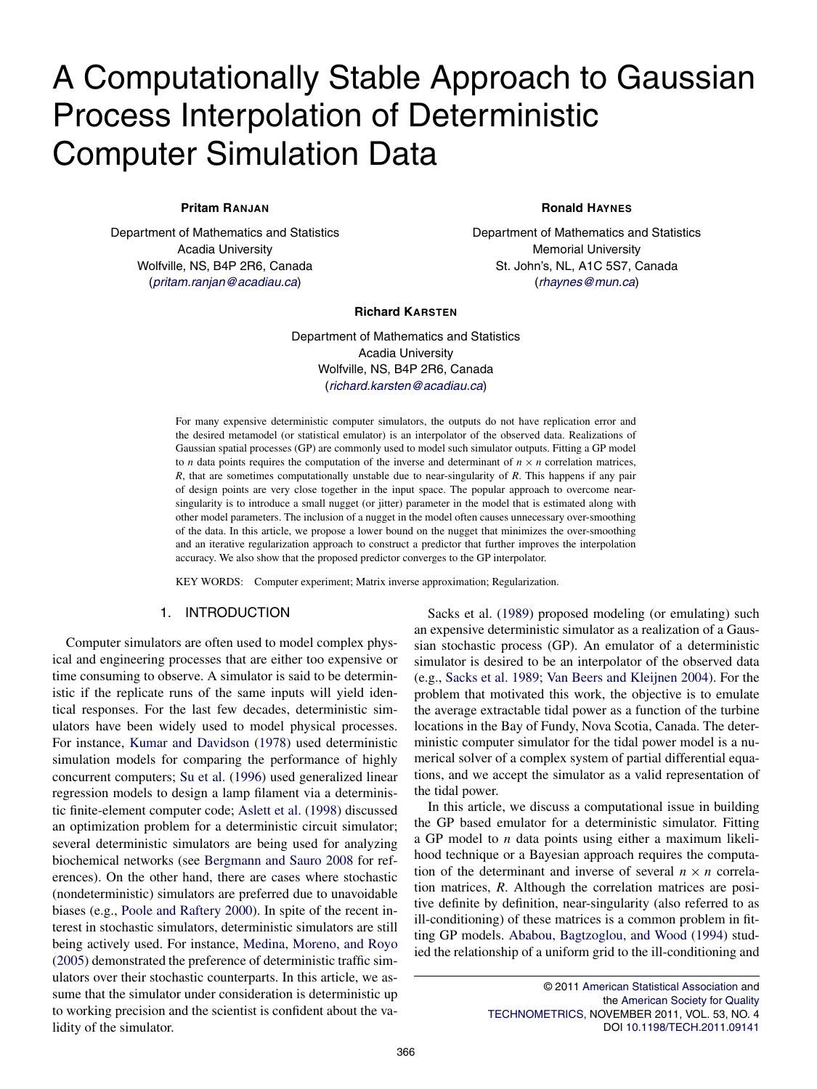# A Computationally Stable Approach to Gaussian Process Interpolation of Deterministic Computer Simulation Data

## **Pritam RANJAN**

Department of Mathematics and Statistics Acadia University Wolfville, NS, B4P 2R6, Canada (pritam.ranjan@acadiau.ca)

**Ronald HAYNES**

Department of Mathematics and Statistics Memorial University St. John's, NL, A1C 5S7, Canada (rhaynes@mun.ca)

#### **Richard KARSTEN**

Department of Mathematics and Statistics Acadia University Wolfville, NS, B4P 2R6, Canada (richard.karsten@acadiau.ca)

For many expensive deterministic computer simulators, the outputs do not have replication error and the desired metamodel (or statistical emulator) is an interpolator of the observed data. Realizations of Gaussian spatial processes (GP) are commonly used to model such simulator outputs. Fitting a GP model to *n* data points requires the computation of the inverse and determinant of  $n \times n$  correlation matrices, *R*, that are sometimes computationally unstable due to near-singularity of *R*. This happens if any pair of design points are very close together in the input space. The popular approach to overcome nearsingularity is to introduce a small nugget (or jitter) parameter in the model that is estimated along with other model parameters. The inclusion of a nugget in the model often causes unnecessary over-smoothing of the data. In this article, we propose a lower bound on the nugget that minimizes the over-smoothing and an iterative regularization approach to construct a predictor that further improves the interpolation accuracy. We also show that the proposed predictor converges to the GP interpolator.

KEY WORDS: Computer experiment; Matrix inverse approximation; Regularization.

# 1. INTRODUCTION

Computer simulators are often used to model complex physical and engineering processes that are either too expensive or time consuming to observe. A simulator is said to be deterministic if the replicate runs of the same inputs will yield identical responses. For the last few decades, deterministic simulators have been widely used to model physical processes. For instance, Kumar and Davidson (1978) used deterministic simulation models for comparing the performance of highly concurrent computers; Su et al. (1996) used generalized linear regression models to design a lamp filament via a deterministic finite-element computer code; Aslett et al. (1998) discussed an optimization problem for a deterministic circuit simulator; several deterministic simulators are being used for analyzing biochemical networks (see Bergmann and Sauro 2008 for references). On the other hand, there are cases where stochastic (nondeterministic) simulators are preferred due to unavoidable biases (e.g., Poole and Raftery 2000). In spite of the recent interest in stochastic simulators, deterministic simulators are still being actively used. For instance, Medina, Moreno, and Royo (2005) demonstrated the preference of deterministic traffic simulators over their stochastic counterparts. In this article, we assume that the simulator under consideration is deterministic up to working precision and the scientist is confident about the validity of the simulator.

Sacks et al. (1989) proposed modeling (or emulating) such an expensive deterministic simulator as a realization of a Gaussian stochastic process (GP). An emulator of a deterministic simulator is desired to be an interpolator of the observed data (e.g., Sacks et al. 1989; Van Beers and Kleijnen 2004). For the problem that motivated this work, the objective is to emulate the average extractable tidal power as a function of the turbine locations in the Bay of Fundy, Nova Scotia, Canada. The deterministic computer simulator for the tidal power model is a numerical solver of a complex system of partial differential equations, and we accept the simulator as a valid representation of the tidal power.

In this article, we discuss a computational issue in building the GP based emulator for a deterministic simulator. Fitting a GP model to *n* data points using either a maximum likelihood technique or a Bayesian approach requires the computation of the determinant and inverse of several  $n \times n$  correlation matrices, *R*. Although the correlation matrices are positive definite by definition, near-singularity (also referred to as ill-conditioning) of these matrices is a common problem in fitting GP models. Ababou, Bagtzoglou, and Wood (1994) studied the relationship of a uniform grid to the ill-conditioning and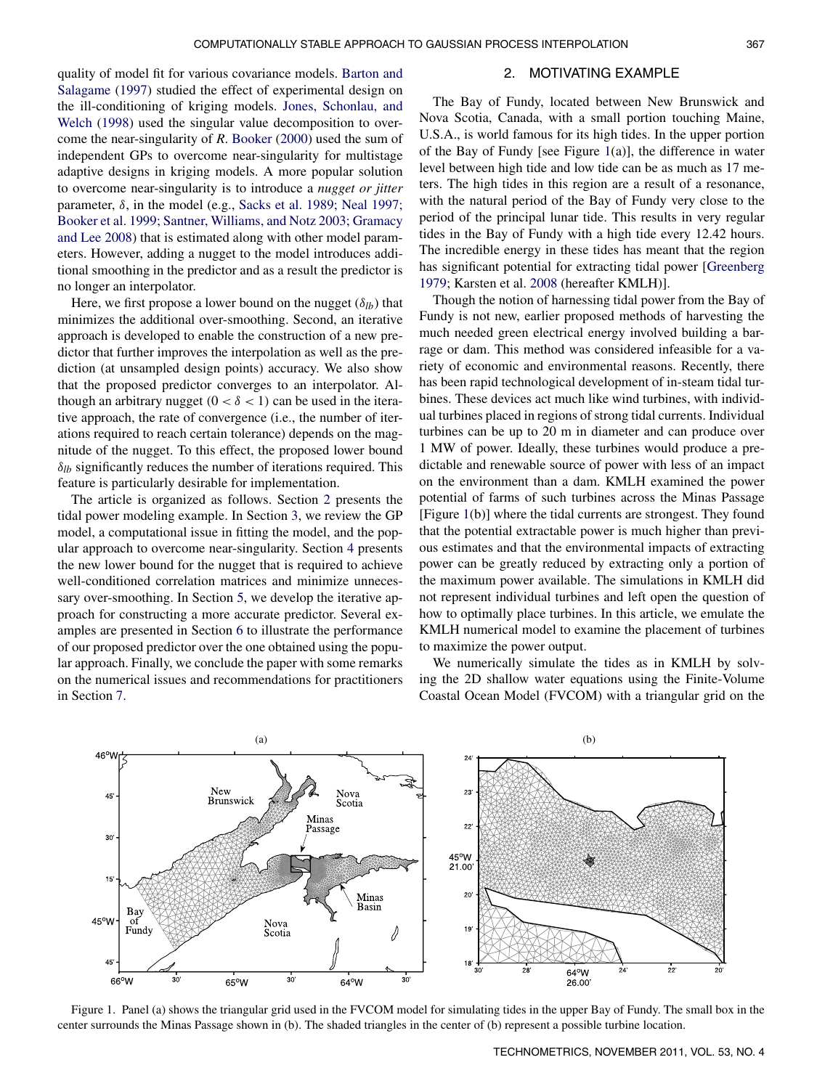quality of model fit for various covariance models. Barton and Salagame (1997) studied the effect of experimental design on the ill-conditioning of kriging models. Jones, Schonlau, and Welch (1998) used the singular value decomposition to overcome the near-singularity of *R*. Booker (2000) used the sum of independent GPs to overcome near-singularity for multistage adaptive designs in kriging models. A more popular solution to overcome near-singularity is to introduce a *nugget or jitter* parameter,  $\delta$ , in the model (e.g., Sacks et al. 1989; Neal 1997; Booker et al. 1999; Santner, Williams, and Notz 2003; Gramacy and Lee 2008) that is estimated along with other model parameters. However, adding a nugget to the model introduces additional smoothing in the predictor and as a result the predictor is no longer an interpolator.

Here, we first propose a lower bound on the nugget  $(\delta_{lb})$  that minimizes the additional over-smoothing. Second, an iterative approach is developed to enable the construction of a new predictor that further improves the interpolation as well as the prediction (at unsampled design points) accuracy. We also show that the proposed predictor converges to an interpolator. Although an arbitrary nugget  $(0 < \delta < 1)$  can be used in the iterative approach, the rate of convergence (i.e., the number of iterations required to reach certain tolerance) depends on the magnitude of the nugget. To this effect, the proposed lower bound  $\delta_{lb}$  significantly reduces the number of iterations required. This feature is particularly desirable for implementation.

The article is organized as follows. Section 2 presents the tidal power modeling example. In Section 3, we review the GP model, a computational issue in fitting the model, and the popular approach to overcome near-singularity. Section 4 presents the new lower bound for the nugget that is required to achieve well-conditioned correlation matrices and minimize unnecessary over-smoothing. In Section 5, we develop the iterative approach for constructing a more accurate predictor. Several examples are presented in Section 6 to illustrate the performance of our proposed predictor over the one obtained using the popular approach. Finally, we conclude the paper with some remarks on the numerical issues and recommendations for practitioners in Section 7.

#### 2. MOTIVATING EXAMPLE

The Bay of Fundy, located between New Brunswick and Nova Scotia, Canada, with a small portion touching Maine, U.S.A., is world famous for its high tides. In the upper portion of the Bay of Fundy [see Figure  $1(a)$ ], the difference in water level between high tide and low tide can be as much as 17 meters. The high tides in this region are a result of a resonance, with the natural period of the Bay of Fundy very close to the period of the principal lunar tide. This results in very regular tides in the Bay of Fundy with a high tide every 12.42 hours. The incredible energy in these tides has meant that the region has significant potential for extracting tidal power [Greenberg 1979; Karsten et al. 2008 (hereafter KMLH)].

Though the notion of harnessing tidal power from the Bay of Fundy is not new, earlier proposed methods of harvesting the much needed green electrical energy involved building a barrage or dam. This method was considered infeasible for a variety of economic and environmental reasons. Recently, there has been rapid technological development of in-steam tidal turbines. These devices act much like wind turbines, with individual turbines placed in regions of strong tidal currents. Individual turbines can be up to 20 m in diameter and can produce over 1 MW of power. Ideally, these turbines would produce a predictable and renewable source of power with less of an impact on the environment than a dam. KMLH examined the power potential of farms of such turbines across the Minas Passage [Figure 1(b)] where the tidal currents are strongest. They found that the potential extractable power is much higher than previous estimates and that the environmental impacts of extracting power can be greatly reduced by extracting only a portion of the maximum power available. The simulations in KMLH did not represent individual turbines and left open the question of how to optimally place turbines. In this article, we emulate the KMLH numerical model to examine the placement of turbines to maximize the power output.

We numerically simulate the tides as in KMLH by solving the 2D shallow water equations using the Finite-Volume Coastal Ocean Model (FVCOM) with a triangular grid on the



Figure 1. Panel (a) shows the triangular grid used in the FVCOM model for simulating tides in the upper Bay of Fundy. The small box in the center surrounds the Minas Passage shown in (b). The shaded triangles in the center of (b) represent a possible turbine location.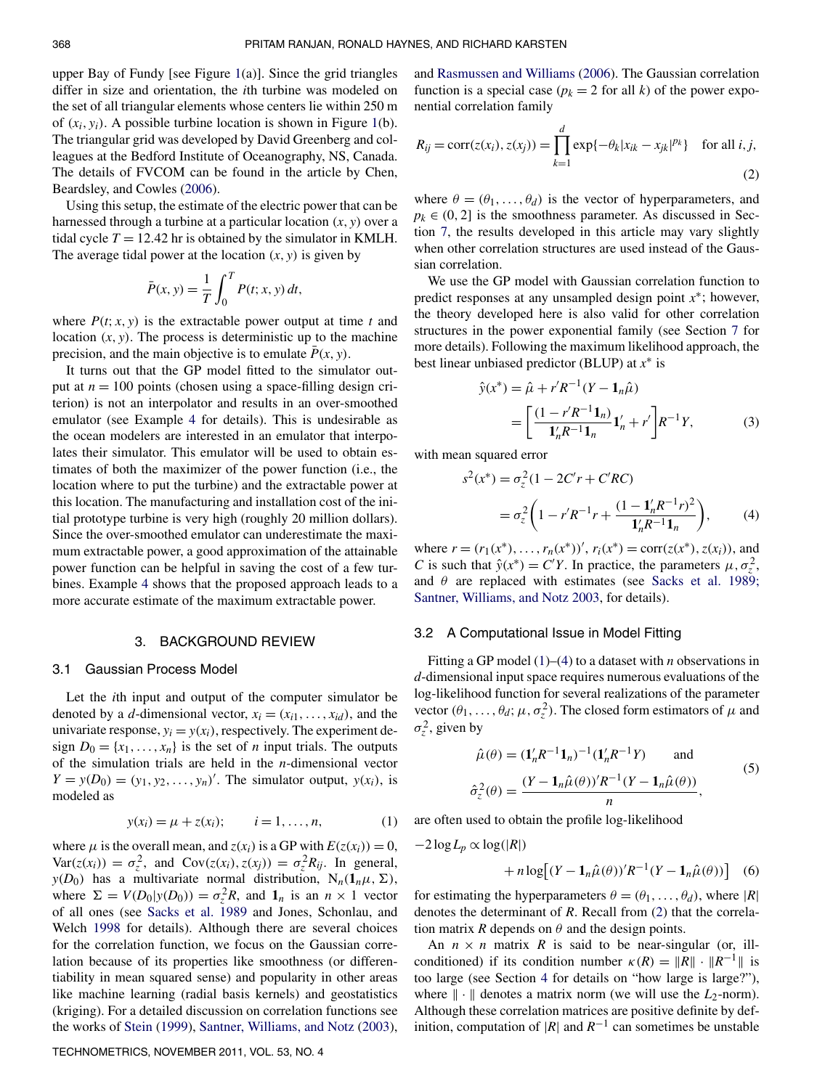upper Bay of Fundy [see Figure 1(a)]. Since the grid triangles differ in size and orientation, the *i*th turbine was modeled on the set of all triangular elements whose centers lie within 250 m of  $(x_i, y_i)$ . A possible turbine location is shown in Figure 1(b). The triangular grid was developed by David Greenberg and colleagues at the Bedford Institute of Oceanography, NS, Canada. The details of FVCOM can be found in the article by Chen, Beardsley, and Cowles (2006).

Using this setup, the estimate of the electric power that can be harnessed through a turbine at a particular location (*x*, *y*) over a tidal cycle  $T = 12.42$  hr is obtained by the simulator in KMLH. The average tidal power at the location  $(x, y)$  is given by

$$
\bar{P}(x, y) = \frac{1}{T} \int_0^T P(t; x, y) dt,
$$

where  $P(t; x, y)$  is the extractable power output at time *t* and location  $(x, y)$ . The process is deterministic up to the machine precision, and the main objective is to emulate  $\bar{P}(x, y)$ .

It turns out that the GP model fitted to the simulator output at  $n = 100$  points (chosen using a space-filling design criterion) is not an interpolator and results in an over-smoothed emulator (see Example 4 for details). This is undesirable as the ocean modelers are interested in an emulator that interpolates their simulator. This emulator will be used to obtain estimates of both the maximizer of the power function (i.e., the location where to put the turbine) and the extractable power at this location. The manufacturing and installation cost of the initial prototype turbine is very high (roughly 20 million dollars). Since the over-smoothed emulator can underestimate the maximum extractable power, a good approximation of the attainable power function can be helpful in saving the cost of a few turbines. Example 4 shows that the proposed approach leads to a more accurate estimate of the maximum extractable power.

#### 3. BACKGROUND REVIEW

#### 3.1 Gaussian Process Model

Let the *i*th input and output of the computer simulator be denoted by a *d*-dimensional vector,  $x_i = (x_{i1}, \ldots, x_{id})$ , and the univariate response,  $y_i = y(x_i)$ , respectively. The experiment design  $D_0 = \{x_1, \ldots, x_n\}$  is the set of *n* input trials. The outputs of the simulation trials are held in the *n*-dimensional vector  $Y = y(D_0) = (y_1, y_2, \dots, y_n)'$ . The simulator output,  $y(x_i)$ , is modeled as

$$
y(x_i) = \mu + z(x_i);
$$
  $i = 1, ..., n,$  (1)

where  $\mu$  is the overall mean, and  $z(x_i)$  is a GP with  $E(z(x_i)) = 0$ ,  $Var(z(x_i)) = \sigma_z^2$ , and  $Cov(z(x_i), z(x_j)) = \sigma_z^2 R_{ij}$ . In general, *y*(*D*<sub>0</sub>) has a multivariate normal distribution,  $N_n(1_n\mu, \Sigma)$ , where  $\Sigma = V(D_0|y(D_0)) = \sigma_z^2 R$ , and  $\mathbf{1}_n$  is an  $n \times 1$  vector of all ones (see Sacks et al. 1989 and Jones, Schonlau, and Welch 1998 for details). Although there are several choices for the correlation function, we focus on the Gaussian correlation because of its properties like smoothness (or differentiability in mean squared sense) and popularity in other areas like machine learning (radial basis kernels) and geostatistics (kriging). For a detailed discussion on correlation functions see the works of Stein (1999), Santner, Williams, and Notz (2003), and Rasmussen and Williams (2006). The Gaussian correlation function is a special case ( $p_k = 2$  for all *k*) of the power exponential correlation family

$$
R_{ij} = \text{corr}(z(x_i), z(x_j)) = \prod_{k=1}^{d} \exp\{-\theta_k |x_{ik} - x_{jk}|^{p_k}\} \text{ for all } i, j,
$$
\n(2)

where  $\theta = (\theta_1, \dots, \theta_d)$  is the vector of hyperparameters, and  $p_k \in (0, 2]$  is the smoothness parameter. As discussed in Section 7, the results developed in this article may vary slightly when other correlation structures are used instead of the Gaussian correlation.

We use the GP model with Gaussian correlation function to predict responses at any unsampled design point  $x^*$ ; however, the theory developed here is also valid for other correlation structures in the power exponential family (see Section 7 for more details). Following the maximum likelihood approach, the best linear unbiased predictor (BLUP) at *x* ∗ is

$$
\hat{y}(x^*) = \hat{\mu} + r'R^{-1}(Y - \mathbf{1}_n\hat{\mu})
$$
  
= 
$$
\left[\frac{(1 - r'R^{-1}\mathbf{1}_n)}{\mathbf{1}_n'R^{-1}\mathbf{1}_n}\mathbf{1}_n' + r'\right]R^{-1}Y,
$$
 (3)

with mean squared error

$$
s^{2}(x^{*}) = \sigma_{z}^{2} (1 - 2C'r + C'RC)
$$
  
=  $\sigma_{z}^{2} \left( 1 - r'R^{-1}r + \frac{(1 - \mathbf{1}'_{n}R^{-1}r)^{2}}{\mathbf{1}'_{n}R^{-1}\mathbf{1}_{n}} \right),$  (4)

where  $r = (r_1(x^*), \ldots, r_n(x^*))'$ ,  $r_i(x^*) = \text{corr}(z(x^*), z(x_i))$ , and *C* is such that  $\hat{y}(x^*) = C'Y$ . In practice, the parameters  $\mu, \sigma_z^2$ , and  $\theta$  are replaced with estimates (see Sacks et al. 1989; Santner, Williams, and Notz 2003, for details).

#### 3.2 A Computational Issue in Model Fitting

Fitting a GP model (1)–(4) to a dataset with *n* observations in *d*-dimensional input space requires numerous evaluations of the log-likelihood function for several realizations of the parameter vector  $(\theta_1, \ldots, \theta_d; \mu, \sigma_z^2)$ . The closed form estimators of  $\mu$  and  $\sigma_z^2$ , given by

$$
\hat{\mu}(\theta) = (\mathbf{1}_n' R^{-1} \mathbf{1}_n)^{-1} (\mathbf{1}_n' R^{-1} Y) \quad \text{and}
$$
\n
$$
\hat{\sigma}_z^2(\theta) = \frac{(Y - \mathbf{1}_n \hat{\mu}(\theta))' R^{-1} (Y - \mathbf{1}_n \hat{\mu}(\theta))}{n},
$$
\n(5)

are often used to obtain the profile log-likelihood

$$
-2\log L_p \propto \log(|R|)
$$
  
+  $n\log[(Y - \mathbf{1}_n\hat{\mu}(\theta))^T/R^{-1}(Y - \mathbf{1}_n\hat{\mu}(\theta))]$  (6)

for estimating the hyperparameters  $\theta = (\theta_1, \dots, \theta_d)$ , where  $|R|$ denotes the determinant of *R*. Recall from (2) that the correlation matrix *R* depends on  $\theta$  and the design points.

An  $n \times n$  matrix R is said to be near-singular (or, illconditioned) if its condition number  $\kappa(R) = ||R|| \cdot ||R^{-1}||$  is too large (see Section 4 for details on "how large is large?"), where  $\|\cdot\|$  denotes a matrix norm (we will use the  $L_2$ -norm). Although these correlation matrices are positive definite by definition, computation of  $|R|$  and  $R^{-1}$  can sometimes be unstable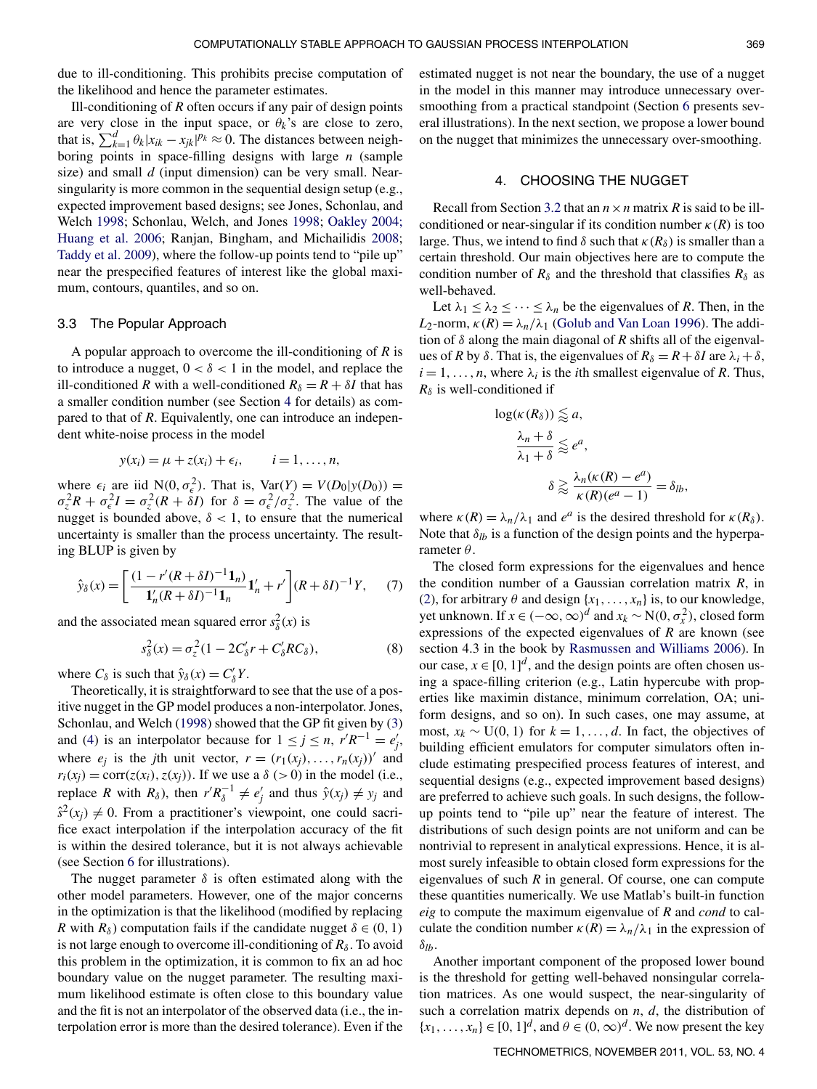due to ill-conditioning. This prohibits precise computation of the likelihood and hence the parameter estimates.

Ill-conditioning of *R* often occurs if any pair of design points are very close in the input space, or  $\theta_k$ 's are close to zero, that is,  $\sum_{k=1}^{d} \theta_k |x_{ik} - x_{jk}|^{p_k} \approx 0$ . The distances between neighboring points in space-filling designs with large *n* (sample size) and small *d* (input dimension) can be very small. Nearsingularity is more common in the sequential design setup (e.g., expected improvement based designs; see Jones, Schonlau, and Welch 1998; Schonlau, Welch, and Jones 1998; Oakley 2004; Huang et al. 2006; Ranjan, Bingham, and Michailidis 2008; Taddy et al. 2009), where the follow-up points tend to "pile up" near the prespecified features of interest like the global maximum, contours, quantiles, and so on.

## 3.3 The Popular Approach

A popular approach to overcome the ill-conditioning of *R* is to introduce a nugget,  $0 < \delta < 1$  in the model, and replace the ill-conditioned *R* with a well-conditioned  $R_{\delta} = R + \delta I$  that has a smaller condition number (see Section 4 for details) as compared to that of *R*. Equivalently, one can introduce an independent white-noise process in the model

$$
y(x_i) = \mu + z(x_i) + \epsilon_i, \qquad i = 1, ..., n,
$$

where  $\epsilon_i$  are iid  $N(0, \sigma_\epsilon^2)$ . That is,  $Var(Y) = V(D_0|y(D_0))$  =  $\sigma_z^2 R + \sigma_{\epsilon}^2 I = \sigma_z^2 (R + \delta I)$  for  $\delta = \sigma_{\epsilon}^2 / \sigma_z^2$ . The value of the nugget is bounded above,  $\delta$  < 1, to ensure that the numerical uncertainty is smaller than the process uncertainty. The resulting BLUP is given by

$$
\hat{y}_{\delta}(x) = \left[ \frac{(1 - r'(R + \delta I)^{-1} \mathbf{1}_n)}{\mathbf{1}_n'(R + \delta I)^{-1} \mathbf{1}_n} \mathbf{1}_n' + r' \right] (R + \delta I)^{-1} Y, \tag{7}
$$

and the associated mean squared error  $s_\delta^2(x)$  is

$$
s_{\delta}^{2}(x) = \sigma_{z}^{2}(1 - 2C_{\delta}^{\prime}r + C_{\delta}^{\prime}RC_{\delta}),
$$
\n(8)

where  $C_{\delta}$  is such that  $\hat{y}_{\delta}(x) = C'_{\delta} Y$ .

Theoretically, it is straightforward to see that the use of a positive nugget in the GP model produces a non-interpolator. Jones, Schonlau, and Welch (1998) showed that the GP fit given by (3) and (4) is an interpolator because for  $1 \le j \le n$ ,  $r'R^{-1} = e'_j$ , where  $e_j$  is the *j*th unit vector,  $r = (r_1(x_j), \dots, r_n(x_j))'$  and  $r_i(x_i) = \text{corr}(z(x_i), z(x_i))$ . If we use a  $\delta$  (>0) in the model (i.e., replace *R* with  $R_\delta$ ), then  $r'R_\delta^{-1} \neq e'_j$  and thus  $\hat{y}(x_j) \neq y_j$  and  $\hat{s}^2(x_j) \neq 0$ . From a practitioner's viewpoint, one could sacrifice exact interpolation if the interpolation accuracy of the fit is within the desired tolerance, but it is not always achievable (see Section 6 for illustrations).

The nugget parameter  $\delta$  is often estimated along with the other model parameters. However, one of the major concerns in the optimization is that the likelihood (modified by replacing *R* with  $R_\delta$ ) computation fails if the candidate nugget  $\delta \in (0, 1)$ is not large enough to overcome ill-conditioning of  $R_\delta$ . To avoid this problem in the optimization, it is common to fix an ad hoc boundary value on the nugget parameter. The resulting maximum likelihood estimate is often close to this boundary value and the fit is not an interpolator of the observed data (i.e., the interpolation error is more than the desired tolerance). Even if the

estimated nugget is not near the boundary, the use of a nugget in the model in this manner may introduce unnecessary oversmoothing from a practical standpoint (Section 6 presents several illustrations). In the next section, we propose a lower bound on the nugget that minimizes the unnecessary over-smoothing.

#### 4. CHOOSING THE NUGGET

Recall from Section 3.2 that an  $n \times n$  matrix R is said to be illconditioned or near-singular if its condition number  $\kappa(R)$  is too large. Thus, we intend to find  $\delta$  such that  $\kappa(R_{\delta})$  is smaller than a certain threshold. Our main objectives here are to compute the condition number of  $R_\delta$  and the threshold that classifies  $R_\delta$  as well-behaved.

Let  $\lambda_1 \leq \lambda_2 \leq \cdots \leq \lambda_n$  be the eigenvalues of *R*. Then, in the *L*<sub>2</sub>-norm,  $\kappa(R) = \lambda_n/\lambda_1$  (Golub and Van Loan 1996). The addition of  $\delta$  along the main diagonal of  $R$  shifts all of the eigenvalues of *R* by  $\delta$ . That is, the eigenvalues of  $R_{\delta} = R + \delta I$  are  $\lambda_i + \delta$ ,  $i = 1, \ldots, n$ , where  $\lambda_i$  is the *i*th smallest eigenvalue of *R*. Thus,  $R_\delta$  is well-conditioned if

$$
\log(\kappa(R_{\delta})) \lessapprox a,
$$
  
\n
$$
\frac{\lambda_n + \delta}{\lambda_1 + \delta} \lessapprox e^a,
$$
  
\n
$$
\delta \gtrapprox \frac{\lambda_n(\kappa(R) - e^a)}{\kappa(R)(e^a - 1)} = \delta_{lb},
$$

where  $\kappa(R) = \lambda_n/\lambda_1$  and  $e^a$  is the desired threshold for  $\kappa(R_\delta)$ . Note that  $\delta_{lb}$  is a function of the design points and the hyperparameter  $\theta$ .

The closed form expressions for the eigenvalues and hence the condition number of a Gaussian correlation matrix *R*, in (2), for arbitrary  $\theta$  and design { $x_1, \ldots, x_n$ } is, to our knowledge, yet unknown. If *x* ∈  $(-∞, ∞)<sup>d</sup>$  and *x*<sup>*k*</sup> ∼ N(0,  $σ_x^2$ ), closed form expressions of the expected eigenvalues of *R* are known (see section 4.3 in the book by Rasmussen and Williams 2006). In our case,  $x \in [0, 1]^d$ , and the design points are often chosen using a space-filling criterion (e.g., Latin hypercube with properties like maximin distance, minimum correlation, OA; uniform designs, and so on). In such cases, one may assume, at most,  $x_k \sim U(0, 1)$  for  $k = 1, \ldots, d$ . In fact, the objectives of building efficient emulators for computer simulators often include estimating prespecified process features of interest, and sequential designs (e.g., expected improvement based designs) are preferred to achieve such goals. In such designs, the followup points tend to "pile up" near the feature of interest. The distributions of such design points are not uniform and can be nontrivial to represent in analytical expressions. Hence, it is almost surely infeasible to obtain closed form expressions for the eigenvalues of such *R* in general. Of course, one can compute these quantities numerically. We use Matlab's built-in function *eig* to compute the maximum eigenvalue of *R* and *cond* to calculate the condition number  $\kappa(R) = \lambda_n/\lambda_1$  in the expression of δ*lb*.

Another important component of the proposed lower bound is the threshold for getting well-behaved nonsingular correlation matrices. As one would suspect, the near-singularity of such a correlation matrix depends on *n*, *d*, the distribution of  ${x_1, \ldots, x_n} \in [0, 1]^d$ , and  $\theta \in (0, \infty)^d$ . We now present the key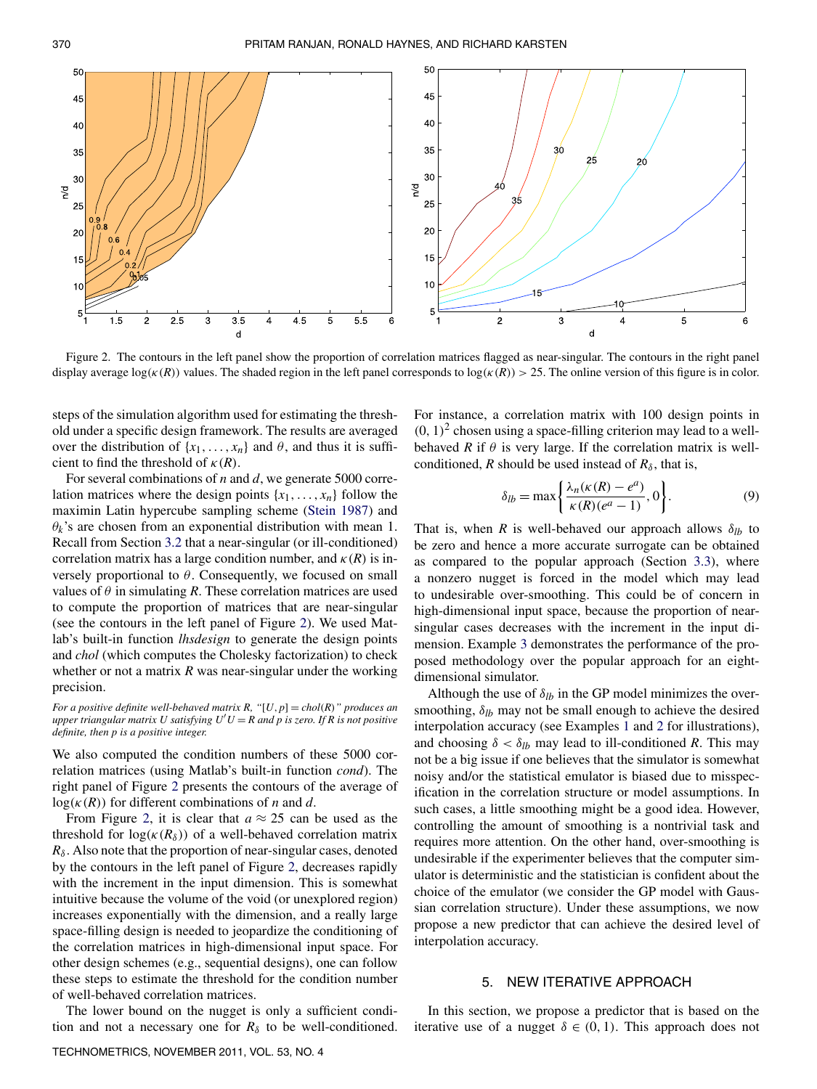

Figure 2. The contours in the left panel show the proportion of correlation matrices flagged as near-singular. The contours in the right panel display average log( $\kappa(R)$ ) values. The shaded region in the left panel corresponds to log( $\kappa(R)$ ) > 25. The online version of this figure is in color.

steps of the simulation algorithm used for estimating the threshold under a specific design framework. The results are averaged over the distribution of  $\{x_1, \ldots, x_n\}$  and  $\theta$ , and thus it is sufficient to find the threshold of  $\kappa(R)$ .

For several combinations of *n* and *d*, we generate 5000 correlation matrices where the design points  $\{x_1, \ldots, x_n\}$  follow the maximin Latin hypercube sampling scheme (Stein 1987) and  $\theta_k$ 's are chosen from an exponential distribution with mean 1. Recall from Section 3.2 that a near-singular (or ill-conditioned) correlation matrix has a large condition number, and  $\kappa(R)$  is inversely proportional to  $\theta$ . Consequently, we focused on small values of  $\theta$  in simulating *R*. These correlation matrices are used to compute the proportion of matrices that are near-singular (see the contours in the left panel of Figure 2). We used Matlab's built-in function *lhsdesign* to generate the design points and *chol* (which computes the Cholesky factorization) to check whether or not a matrix *R* was near-singular under the working precision.

*For a positive definite well-behaved matrix R,*  $\lq$   $[U, p] = \text{chol}(R)$  *" produces an upper triangular matrix U satisfying*  $U'U = R$  *and p is zero. If R is not positive definite, then p is a positive integer.*

We also computed the condition numbers of these 5000 correlation matrices (using Matlab's built-in function *cond*). The right panel of Figure 2 presents the contours of the average of  $log(\kappa(R))$  for different combinations of *n* and *d*.

From Figure 2, it is clear that  $a \approx 25$  can be used as the threshold for  $log(\kappa(R_\delta))$  of a well-behaved correlation matrix  $R_{\delta}$ . Also note that the proportion of near-singular cases, denoted by the contours in the left panel of Figure 2, decreases rapidly with the increment in the input dimension. This is somewhat intuitive because the volume of the void (or unexplored region) increases exponentially with the dimension, and a really large space-filling design is needed to jeopardize the conditioning of the correlation matrices in high-dimensional input space. For other design schemes (e.g., sequential designs), one can follow these steps to estimate the threshold for the condition number of well-behaved correlation matrices.

The lower bound on the nugget is only a sufficient condition and not a necessary one for  $R_{\delta}$  to be well-conditioned. For instance, a correlation matrix with 100 design points in  $(0, 1)^2$  chosen using a space-filling criterion may lead to a wellbehaved *R* if  $\theta$  is very large. If the correlation matrix is wellconditioned, *R* should be used instead of  $R_\delta$ , that is,

$$
\delta_{lb} = \max\left\{\frac{\lambda_n(\kappa(R) - e^a)}{\kappa(R)(e^a - 1)}, 0\right\}.
$$
 (9)

That is, when *R* is well-behaved our approach allows  $\delta_{lb}$  to be zero and hence a more accurate surrogate can be obtained as compared to the popular approach (Section 3.3), where a nonzero nugget is forced in the model which may lead to undesirable over-smoothing. This could be of concern in high-dimensional input space, because the proportion of nearsingular cases decreases with the increment in the input dimension. Example 3 demonstrates the performance of the proposed methodology over the popular approach for an eightdimensional simulator.

Although the use of  $\delta_{lb}$  in the GP model minimizes the oversmoothing,  $\delta_{lb}$  may not be small enough to achieve the desired interpolation accuracy (see Examples 1 and 2 for illustrations), and choosing  $\delta < \delta_{lb}$  may lead to ill-conditioned *R*. This may not be a big issue if one believes that the simulator is somewhat noisy and/or the statistical emulator is biased due to misspecification in the correlation structure or model assumptions. In such cases, a little smoothing might be a good idea. However, controlling the amount of smoothing is a nontrivial task and requires more attention. On the other hand, over-smoothing is undesirable if the experimenter believes that the computer simulator is deterministic and the statistician is confident about the choice of the emulator (we consider the GP model with Gaussian correlation structure). Under these assumptions, we now propose a new predictor that can achieve the desired level of interpolation accuracy.

# 5. NEW ITERATIVE APPROACH

In this section, we propose a predictor that is based on the iterative use of a nugget  $\delta \in (0, 1)$ . This approach does not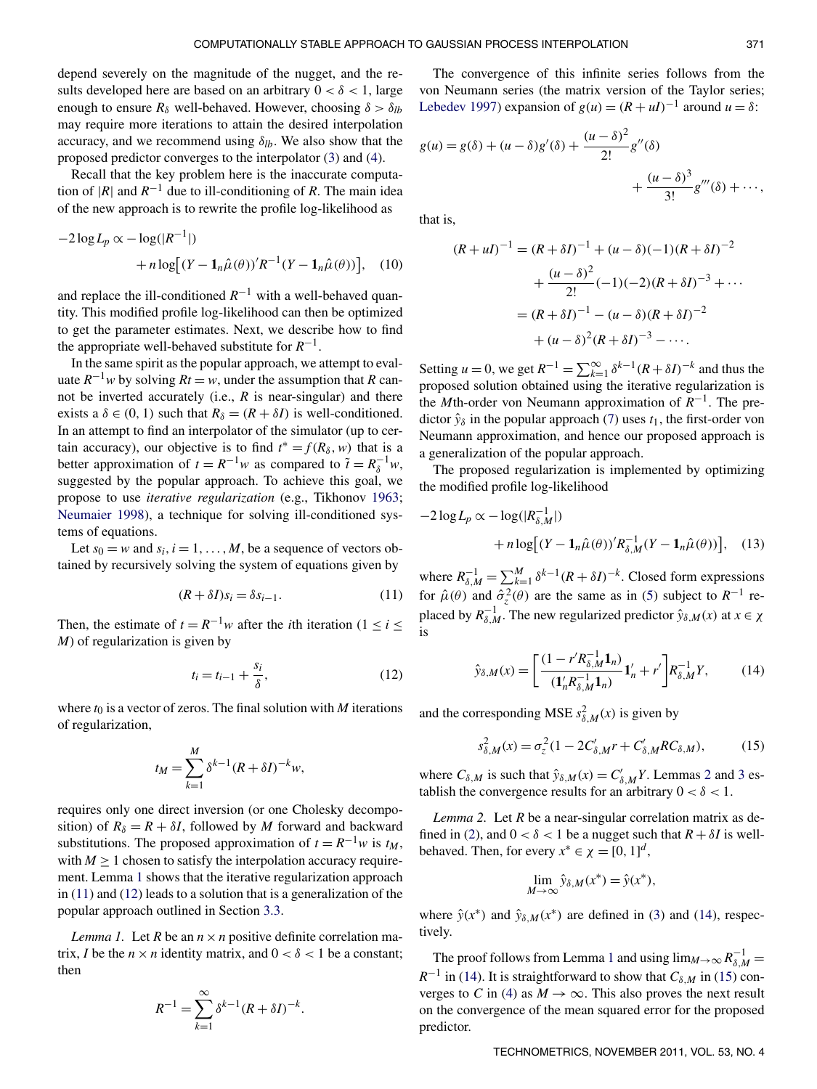depend severely on the magnitude of the nugget, and the results developed here are based on an arbitrary  $0 < \delta < 1$ , large enough to ensure  $R_\delta$  well-behaved. However, choosing  $\delta > \delta_{lb}$ may require more iterations to attain the desired interpolation accuracy, and we recommend using  $\delta_{lb}$ . We also show that the proposed predictor converges to the interpolator (3) and (4).

Recall that the key problem here is the inaccurate computation of  $|R|$  and  $R^{-1}$  due to ill-conditioning of *R*. The main idea of the new approach is to rewrite the profile log-likelihood as

$$
-2\log L_p \propto -\log(|R^{-1}|)
$$
  
+  $n\log[(Y - \mathbf{1}_n\hat{\mu}(\theta))^{\prime}R^{-1}(Y - \mathbf{1}_n\hat{\mu}(\theta))],$  (10)

and replace the ill-conditioned  $R^{-1}$  with a well-behaved quantity. This modified profile log-likelihood can then be optimized to get the parameter estimates. Next, we describe how to find the appropriate well-behaved substitute for  $R^{-1}$ .

In the same spirit as the popular approach, we attempt to evaluate  $R^{-1}w$  by solving  $Rt = w$ , under the assumption that R cannot be inverted accurately (i.e., *R* is near-singular) and there exists a  $\delta \in (0, 1)$  such that  $R_{\delta} = (R + \delta I)$  is well-conditioned. In an attempt to find an interpolator of the simulator (up to certain accuracy), our objective is to find  $t^* = f(R_\delta, w)$  that is a better approximation of  $t = R^{-1}w$  as compared to  $\tilde{t} = R_{\delta}^{-1}w$ , suggested by the popular approach. To achieve this goal, we propose to use *iterative regularization* (e.g., Tikhonov 1963; Neumaier 1998), a technique for solving ill-conditioned systems of equations.

Let  $s_0 = w$  and  $s_i$ ,  $i = 1, ..., M$ , be a sequence of vectors obtained by recursively solving the system of equations given by

$$
(R + \delta I)s_i = \delta s_{i-1}.
$$
\n(11)

Then, the estimate of  $t = R^{-1}w$  after the *i*th iteration (1 ≤ *i* ≤ *M*) of regularization is given by

$$
t_i = t_{i-1} + \frac{s_i}{\delta},\tag{12}
$$

.

where  $t_0$  is a vector of zeros. The final solution with  $M$  iterations of regularization,

$$
t_M = \sum_{k=1}^M \delta^{k-1} (R + \delta I)^{-k} w,
$$

requires only one direct inversion (or one Cholesky decomposition) of  $R_\delta = R + \delta I$ , followed by *M* forward and backward substitutions. The proposed approximation of  $t = R^{-1}w$  is  $t_M$ , with  $M \geq 1$  chosen to satisfy the interpolation accuracy requirement. Lemma 1 shows that the iterative regularization approach in (11) and (12) leads to a solution that is a generalization of the popular approach outlined in Section 3.3.

*Lemma 1.* Let *R* be an  $n \times n$  positive definite correlation matrix, *I* be the  $n \times n$  identity matrix, and  $0 < \delta < 1$  be a constant; then

$$
R^{-1} = \sum_{k=1}^{\infty} \delta^{k-1} (R + \delta I)^{-k}
$$

The convergence of this infinite series follows from the von Neumann series (the matrix version of the Taylor series; Lebedev 1997) expansion of  $g(u) = (R + uI)^{-1}$  around  $u = \delta$ :

$$
g(u) = g(\delta) + (u - \delta)g'(\delta) + \frac{(u - \delta)^2}{2!}g''(\delta) + \frac{(u - \delta)^3}{3!}g'''(\delta) + \cdots,
$$

that is,

$$
(R + uI)^{-1} = (R + \delta I)^{-1} + (u - \delta)(-1)(R + \delta I)^{-2}
$$

$$
+ \frac{(u - \delta)^2}{2!}(-1)(-2)(R + \delta I)^{-3} + \cdots
$$

$$
= (R + \delta I)^{-1} - (u - \delta)(R + \delta I)^{-2}
$$

$$
+ (u - \delta)^2 (R + \delta I)^{-3} - \cdots.
$$

Setting  $u = 0$ , we get  $R^{-1} = \sum_{k=1}^{\infty} \delta^{k-1} (R + \delta I)^{-k}$  and thus the proposed solution obtained using the iterative regularization is the *M*th-order von Neumann approximation of  $R^{-1}$ . The predictor  $\hat{y}_\delta$  in the popular approach (7) uses  $t_1$ , the first-order von Neumann approximation, and hence our proposed approach is a generalization of the popular approach.

The proposed regularization is implemented by optimizing the modified profile log-likelihood

$$
-2\log L_p \propto -\log(|R_{\delta,M}^{-1}|)
$$
  
+ 
$$
n\log[(Y-\mathbf{1}_n\hat{\mu}(\theta))^{\prime}R_{\delta,M}^{-1}(Y-\mathbf{1}_n\hat{\mu}(\theta))], \quad (13)
$$

where  $R_{\delta,M}^{-1} = \sum_{k=1}^{M} \delta^{k-1} (R + \delta I)^{-k}$ . Closed form expressions for  $\hat{\mu}(\theta)$  and  $\hat{\sigma}_z^2(\theta)$  are the same as in (5) subject to  $R^{-1}$  replaced by  $R_{\delta,M}^{-1}$ . The new regularized predictor  $\hat{y}_{\delta,M}(x)$  at  $x \in \chi$ is

$$
\hat{y}_{\delta,M}(x) = \left[ \frac{(1 - r'R_{\delta,M}^{-1} \mathbf{1}_n)}{(\mathbf{1}_n'R_{\delta,M}^{-1} \mathbf{1}_n)} \mathbf{1}_n' + r' \right] R_{\delta,M}^{-1} Y, \tag{14}
$$

and the corresponding MSE  $s_{\delta,M}^2(x)$  is given by

$$
s_{\delta,M}^2(x) = \sigma_z^2 (1 - 2C'_{\delta,M}r + C'_{\delta,M}RC_{\delta,M}),
$$
 (15)

where  $C_{\delta,M}$  is such that  $\hat{y}_{\delta,M}(x) = C'_{\delta,M} Y$ . Lemmas 2 and 3 establish the convergence results for an arbitrary  $0 < \delta < 1$ .

*Lemma 2.* Let *R* be a near-singular correlation matrix as defined in (2), and  $0 < \delta < 1$  be a nugget such that  $R + \delta I$  is wellbehaved. Then, for every  $x^* \in \chi = [0, 1]^d$ ,

$$
\lim_{M \to \infty} \hat{y}_{\delta,M}(x^*) = \hat{y}(x^*),
$$

where  $\hat{y}(x^*)$  and  $\hat{y}_{\delta,M}(x^*)$  are defined in (3) and (14), respectively.

The proof follows from Lemma 1 and using  $\lim_{M\to\infty} R_{\delta,M}^{-1} =$  $R^{-1}$  in (14). It is straightforward to show that  $C_{\delta,M}$  in (15) converges to *C* in (4) as  $M \to \infty$ . This also proves the next result on the convergence of the mean squared error for the proposed predictor.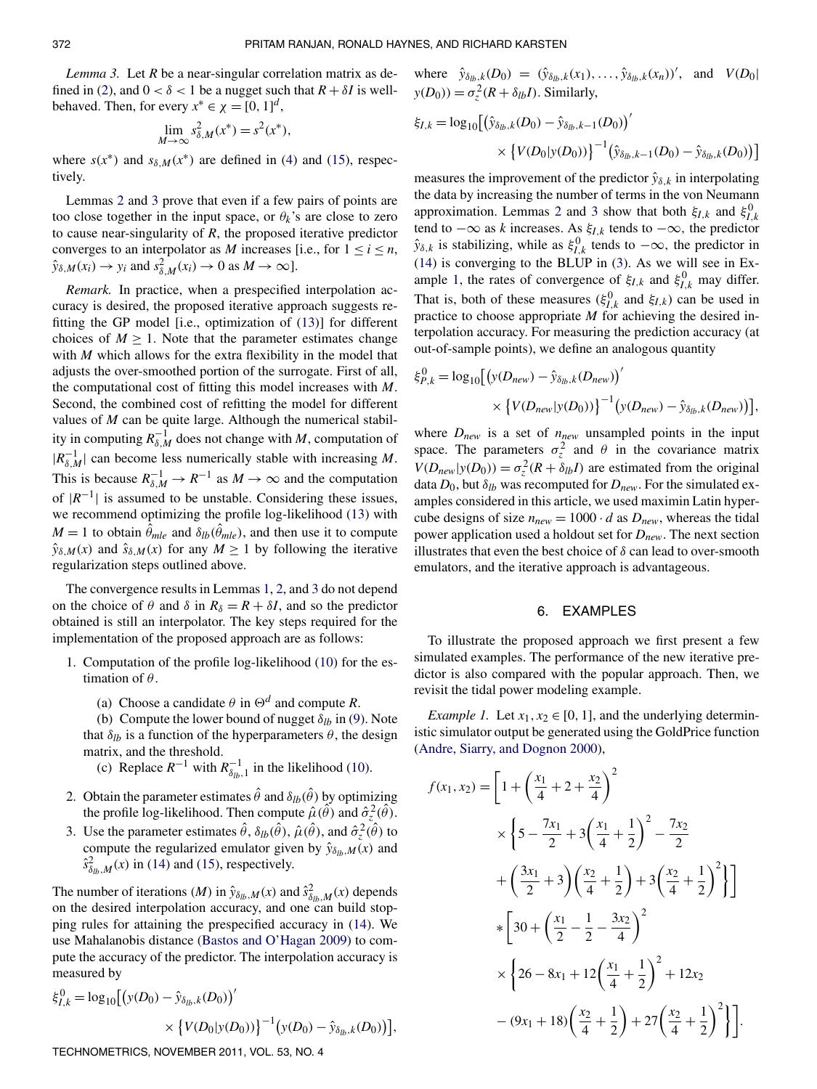*Lemma 3.* Let *R* be a near-singular correlation matrix as defined in (2), and  $0 < \delta < 1$  be a nugget such that  $R + \delta I$  is wellbehaved. Then, for every  $x^* \in \chi = [0, 1]^d$ ,

$$
\lim_{M \to \infty} s_{\delta,M}^2(x^*) = s^2(x^*),
$$

where  $s(x^*)$  and  $s_{\delta,M}(x^*)$  are defined in (4) and (15), respectively.

Lemmas 2 and 3 prove that even if a few pairs of points are too close together in the input space, or  $\theta_k$ 's are close to zero to cause near-singularity of *R*, the proposed iterative predictor converges to an interpolator as *M* increases [i.e., for  $1 \le i \le n$ ,  $\hat{y}_{\delta,M}(x_i) \to y_i$  and  $s_{\delta,M}^2(x_i) \to 0$  as  $M \to \infty$ ].

*Remark.* In practice, when a prespecified interpolation accuracy is desired, the proposed iterative approach suggests refitting the GP model [i.e., optimization of (13)] for different choices of  $M \geq 1$ . Note that the parameter estimates change with *M* which allows for the extra flexibility in the model that adjusts the over-smoothed portion of the surrogate. First of all, the computational cost of fitting this model increases with *M*. Second, the combined cost of refitting the model for different values of *M* can be quite large. Although the numerical stability in computing  $R_{\delta,M}^{-1}$  does not change with *M*, computation of  $|R_{\delta,M}^{-1}|$  can become less numerically stable with increasing *M*. This is because  $R_{\delta,M}^{-1} \to R^{-1}$  as  $M \to \infty$  and the computation of  $|R^{-1}|$  is assumed to be unstable. Considering these issues, we recommend optimizing the profile log-likelihood (13) with  $M = 1$  to obtain  $\hat{\theta}_{mle}$  and  $\delta_{lb}(\hat{\theta}_{mle})$ , and then use it to compute  $\hat{y}_{\delta,M}(x)$  and  $\hat{s}_{\delta,M}(x)$  for any  $M \ge 1$  by following the iterative regularization steps outlined above.

The convergence results in Lemmas 1, 2, and 3 do not depend on the choice of  $\theta$  and  $\delta$  in  $R_{\delta} = R + \delta I$ , and so the predictor obtained is still an interpolator. The key steps required for the implementation of the proposed approach are as follows:

- 1. Computation of the profile log-likelihood (10) for the estimation of  $\theta$ .
	- (a) Choose a candidate  $\theta$  in  $\Theta^d$  and compute *R*.

(b) Compute the lower bound of nugget  $\delta_{lb}$  in (9). Note that  $\delta_{lb}$  is a function of the hyperparameters  $\theta$ , the design matrix, and the threshold.

- (c) Replace  $R^{-1}$  with  $R_{\delta_{lb},1}^{-1}$  in the likelihood (10).
- 2. Obtain the parameter estimates  $\hat{\theta}$  and  $\delta_{lb}(\hat{\theta})$  by optimizing the profile log-likelihood. Then compute  $\hat{\mu}(\hat{\theta})$  and  $\hat{\sigma}_z^2(\hat{\theta})$ .
- 3. Use the parameter estimates  $\hat{\theta}$ ,  $\delta_{lb}(\hat{\theta})$ ,  $\hat{\mu}(\hat{\theta})$ , and  $\hat{\sigma}_z^2(\hat{\theta})$  to compute the regularized emulator given by  $\hat{y}_{\delta_{lb},M}(x)$  and  $\hat{s}_{\delta_{lb},M}^2(x)$  in (14) and (15), respectively.

The number of iterations (*M*) in  $\hat{y}_{\delta_{lb},M}(x)$  and  $\hat{s}^2_{\delta_{lb},M}(x)$  depends on the desired interpolation accuracy, and one can build stopping rules for attaining the prespecified accuracy in (14). We use Mahalanobis distance (Bastos and O'Hagan 2009) to compute the accuracy of the predictor. The interpolation accuracy is measured by

$$
\xi_{I,k}^0 = \log_{10} \left[ \left( y(D_0) - \hat{y}_{\delta_{lb},k}(D_0) \right)' \times \left\{ V(D_0 | y(D_0)) \right\}^{-1} \left( y(D_0) - \hat{y}_{\delta_{lb},k}(D_0) \right) \right],
$$

TECHNOMETRICS, NOVEMBER 2011, VOL. 53, NO. 4

where  $\hat{y}_{\delta_{lb},k}(D_0) = (\hat{y}_{\delta_{lb},k}(x_1), \dots, \hat{y}_{\delta_{lb},k}(x_n))'$ , and  $V(D_0)$  $y(D_0) = \sigma_z^2(R + \delta_{lb}I)$ . Similarly,

$$
\xi_{I,k} = \log_{10} \left[ \left( \hat{y}_{\delta_{lb},k}(D_0) - \hat{y}_{\delta_{lb},k-1}(D_0) \right)' \times \left\{ V(D_0 | y(D_0)) \right\}^{-1} \left( \hat{y}_{\delta_{lb},k-1}(D_0) - \hat{y}_{\delta_{lb},k}(D_0) \right) \right]
$$

measures the improvement of the predictor  $\hat{y}_{\delta,k}$  in interpolating the data by increasing the number of terms in the von Neumann approximation. Lemmas 2 and 3 show that both  $\xi_{I,k}$  and  $\xi_{I,k}^{0}$ tend to −∞ as *k* increases. As ξ*I*,*<sup>k</sup>* tends to −∞, the predictor  $\hat{y}_{\delta,k}$  is stabilizing, while as  $\xi_{I,k}^{0}$  tends to  $-\infty$ , the predictor in (14) is converging to the BLUP in (3). As we will see in Example 1, the rates of convergence of  $\xi_{I,k}$  and  $\xi_{I,k}^0$  may differ. That is, both of these measures ( $\xi_{I,k}^0$  and  $\xi_{I,k}$ ) can be used in practice to choose appropriate *M* for achieving the desired interpolation accuracy. For measuring the prediction accuracy (at out-of-sample points), we define an analogous quantity

$$
\xi_{P,k}^{0} = \log_{10} \left[ \left( y(D_{new}) - \hat{y}_{\delta_{lb},k}(D_{new}) \right)' \times \left\{ V(D_{new} | y(D_0)) \right\}^{-1} \left( y(D_{new}) - \hat{y}_{\delta_{lb},k}(D_{new}) \right) \right],
$$

where  $D_{new}$  is a set of  $n_{new}$  unsampled points in the input space. The parameters  $\sigma_z^2$  and  $\theta$  in the covariance matrix  $V(D_{\text{new}}|y(D_0)) = \sigma_z^2(R + \delta_{lb}I)$  are estimated from the original data  $D_0$ , but  $\delta_{lb}$  was recomputed for  $D_{new}$ . For the simulated examples considered in this article, we used maximin Latin hypercube designs of size  $n_{new} = 1000 \cdot d$  as  $D_{new}$ , whereas the tidal power application used a holdout set for *Dnew*. The next section illustrates that even the best choice of  $\delta$  can lead to over-smooth emulators, and the iterative approach is advantageous.

# 6. EXAMPLES

To illustrate the proposed approach we first present a few simulated examples. The performance of the new iterative predictor is also compared with the popular approach. Then, we revisit the tidal power modeling example.

*Example 1.* Let  $x_1, x_2 \in [0, 1]$ , and the underlying deterministic simulator output be generated using the GoldPrice function (Andre, Siarry, and Dognon 2000),

$$
f(x_1, x_2) = \left[1 + \left(\frac{x_1}{4} + 2 + \frac{x_2}{4}\right)^2\right]
$$
  
\n
$$
\times \left\{5 - \frac{7x_1}{2} + 3\left(\frac{x_1}{4} + \frac{1}{2}\right)^2 - \frac{7x_2}{2}\right\}
$$
  
\n
$$
+ \left(\frac{3x_1}{2} + 3\right)\left(\frac{x_2}{4} + \frac{1}{2}\right) + 3\left(\frac{x_2}{4} + \frac{1}{2}\right)^2\right\}
$$
  
\n
$$
\times \left[30 + \left(\frac{x_1}{2} - \frac{1}{2} - \frac{3x_2}{4}\right)^2\right]
$$
  
\n
$$
\times \left\{26 - 8x_1 + 12\left(\frac{x_1}{4} + \frac{1}{2}\right)^2 + 12x_2\right\}
$$
  
\n
$$
- (9x_1 + 18)\left(\frac{x_2}{4} + \frac{1}{2}\right) + 27\left(\frac{x_2}{4} + \frac{1}{2}\right)^2\right\}.
$$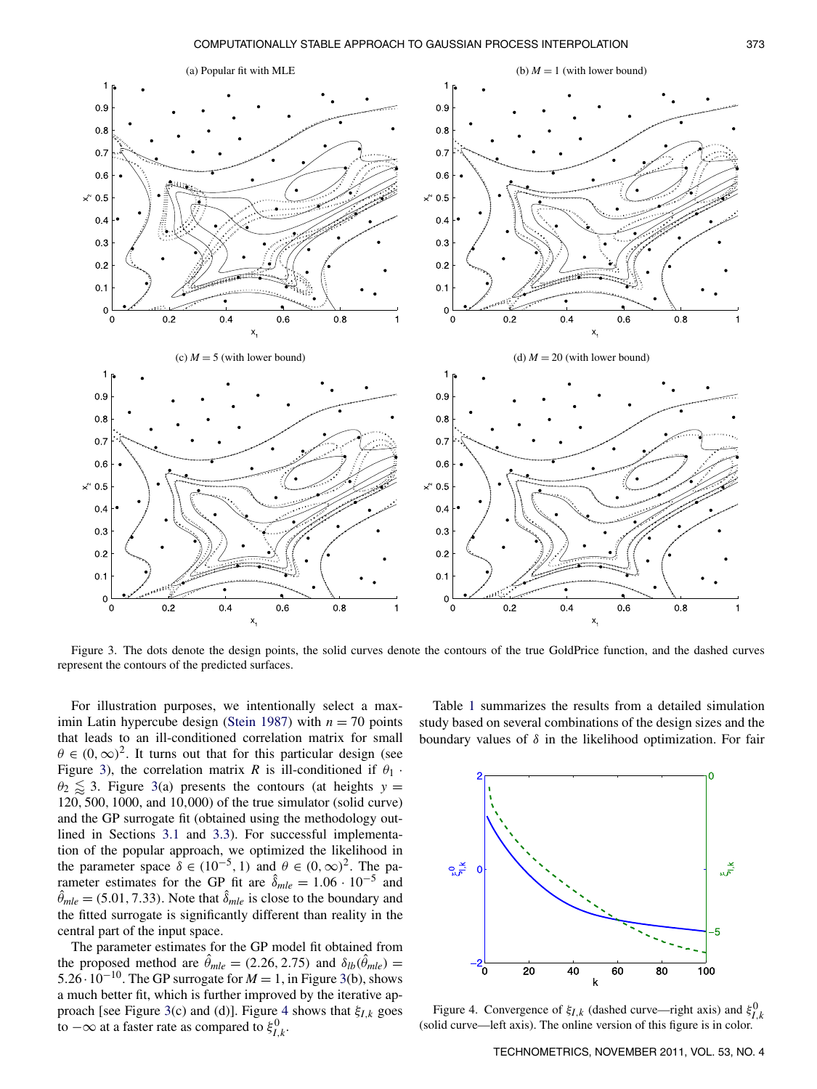

Figure 3. The dots denote the design points, the solid curves denote the contours of the true GoldPrice function, and the dashed curves represent the contours of the predicted surfaces.

For illustration purposes, we intentionally select a maximin Latin hypercube design (Stein 1987) with  $n = 70$  points that leads to an ill-conditioned correlation matrix for small  $\theta \in (0,\infty)^2$ . It turns out that for this particular design (see Figure 3), the correlation matrix *R* is ill-conditioned if  $\theta_1$ .  $\theta_2 \lesssim 3$ . Figure 3(a) presents the contours (at heights  $y =$ 120, 500, 1000, and 10,000) of the true simulator (solid curve) and the GP surrogate fit (obtained using the methodology outlined in Sections 3.1 and 3.3). For successful implementation of the popular approach, we optimized the likelihood in the parameter space  $\delta \in (10^{-5}, 1)$  and  $\theta \in (0, \infty)^2$ . The parameter estimates for the GP fit are  $\hat{\delta}_{mle} = 1.06 \cdot 10^{-5}$  and  $\hat{\theta}_{mle} = (5.01, 7.33)$ . Note that  $\hat{\delta}_{mle}$  is close to the boundary and the fitted surrogate is significantly different than reality in the central part of the input space.

The parameter estimates for the GP model fit obtained from the proposed method are  $\hat{\theta}_{mle} = (2.26, 2.75)$  and  $\delta_{lb}(\hat{\theta}_{mle}) =$ 5.26⋅10<sup>-10</sup>. The GP surrogate for  $M = 1$ , in Figure 3(b), shows a much better fit, which is further improved by the iterative approach [see Figure 3(c) and (d)]. Figure 4 shows that ξ*I*,*<sup>k</sup>* goes to  $-\infty$  at a faster rate as compared to  $\xi_{I,k}^0$ .

Table 1 summarizes the results from a detailed simulation study based on several combinations of the design sizes and the boundary values of  $\delta$  in the likelihood optimization. For fair



Figure 4. Convergence of  $\xi_{I,k}$  (dashed curve—right axis) and  $\xi_{I,k}^{0}$ (solid curve—left axis). The online version of this figure is in color.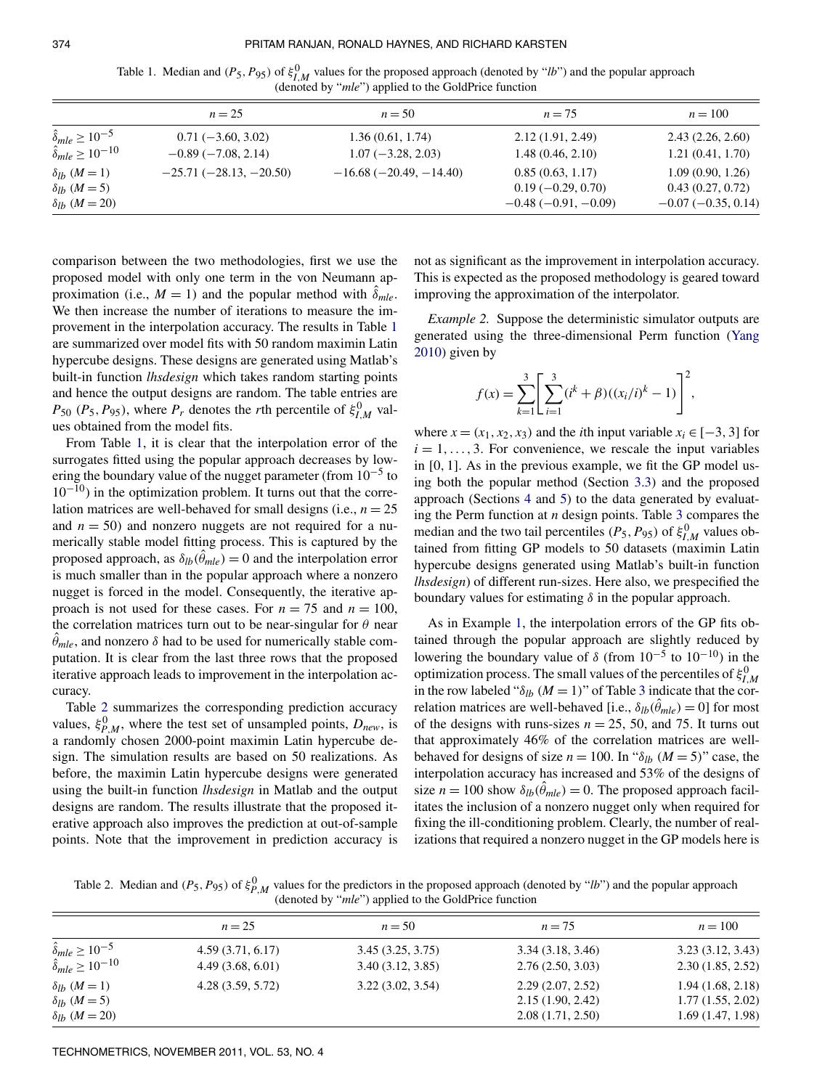$\alpha$ 

| Table 1. Median and $(P_5, P_{95})$ of $\xi_{l,M}^0$ values for the proposed approach (denoted by "lb") and the popular approach |  |                                                               |  |  |
|----------------------------------------------------------------------------------------------------------------------------------|--|---------------------------------------------------------------|--|--|
|                                                                                                                                  |  | (denoted by " <i>mle</i> ") applied to the GoldPrice function |  |  |

|                                    | $n = 25$                | $n = 50$                 | $n = 75$              | $n = 100$            |
|------------------------------------|-------------------------|--------------------------|-----------------------|----------------------|
| $\hat{\delta}_{mle} \ge 10^{-5}$   | $0.71(-3.60, 3.02)$     | 1.36(0.61, 1.74)         | 2.12(1.91, 2.49)      | 2.43(2.26, 2.60)     |
| $\hat{\delta}_{mle} \geq 10^{-10}$ | $-0.89(-7.08, 2.14)$    | $1.07(-3.28, 2.03)$      | 1.48(0.46, 2.10)      | 1.21(0.41, 1.70)     |
| $\delta_{lh}$ $(M=1)$              | $-25.71(-28.13,-20.50)$ | $-16.68(-20.49, -14.40)$ | 0.85(0.63, 1.17)      | 1.09(0.90, 1.26)     |
| $\delta_{lh}$ ( <i>M</i> = 5)      |                         |                          | $0.19(-0.29, 0.70)$   | 0.43(0.27, 0.72)     |
| $\delta_{lh}$ ( <i>M</i> = 20)     |                         |                          | $-0.48(-0.91, -0.09)$ | $-0.07(-0.35, 0.14)$ |

comparison between the two methodologies, first we use the proposed model with only one term in the von Neumann approximation (i.e.,  $M = 1$ ) and the popular method with  $\delta_{mle}$ . We then increase the number of iterations to measure the improvement in the interpolation accuracy. The results in Table 1 are summarized over model fits with 50 random maximin Latin hypercube designs. These designs are generated using Matlab's built-in function *lhsdesign* which takes random starting points and hence the output designs are random. The table entries are  $P_{50}$  ( $P_5$ ,  $P_{95}$ ), where  $P_r$  denotes the *r*th percentile of  $\xi_{I,M}^0$  values obtained from the model fits.

From Table 1, it is clear that the interpolation error of the surrogates fitted using the popular approach decreases by lowering the boundary value of the nugget parameter (from  $10^{-5}$  to  $10^{-10}$ ) in the optimization problem. It turns out that the correlation matrices are well-behaved for small designs (i.e.,  $n = 25$ ) and  $n = 50$ ) and nonzero nuggets are not required for a numerically stable model fitting process. This is captured by the proposed approach, as  $\delta_{lb}(\hat{\theta}_{mle}) = 0$  and the interpolation error is much smaller than in the popular approach where a nonzero nugget is forced in the model. Consequently, the iterative approach is not used for these cases. For  $n = 75$  and  $n = 100$ , the correlation matrices turn out to be near-singular for  $\theta$  near  $\hat{\theta}_{mle}$ , and nonzero  $\delta$  had to be used for numerically stable computation. It is clear from the last three rows that the proposed iterative approach leads to improvement in the interpolation accuracy.

Table 2 summarizes the corresponding prediction accuracy values,  $\xi_{P,M}^0$ , where the test set of unsampled points,  $D_{new}$ , is a randomly chosen 2000-point maximin Latin hypercube design. The simulation results are based on 50 realizations. As before, the maximin Latin hypercube designs were generated using the built-in function *lhsdesign* in Matlab and the output designs are random. The results illustrate that the proposed iterative approach also improves the prediction at out-of-sample points. Note that the improvement in prediction accuracy is not as significant as the improvement in interpolation accuracy. This is expected as the proposed methodology is geared toward improving the approximation of the interpolator.

*Example 2.* Suppose the deterministic simulator outputs are generated using the three-dimensional Perm function (Yang 2010) given by

$$
f(x) = \sum_{k=1}^{3} \left[ \sum_{i=1}^{3} (i^{k} + \beta)((x_{i}/i)^{k} - 1) \right]^{2},
$$

where  $x = (x_1, x_2, x_3)$  and the *i*th input variable  $x_i \in [-3, 3]$  for  $i = 1, \ldots, 3$ . For convenience, we rescale the input variables in [0, 1]. As in the previous example, we fit the GP model using both the popular method (Section 3.3) and the proposed approach (Sections 4 and 5) to the data generated by evaluating the Perm function at *n* design points. Table 3 compares the median and the two tail percentiles ( $P_5$ ,  $P_{95}$ ) of  $\xi_{I,M}^0$  values obtained from fitting GP models to 50 datasets (maximin Latin hypercube designs generated using Matlab's built-in function *lhsdesign*) of different run-sizes. Here also, we prespecified the boundary values for estimating  $\delta$  in the popular approach.

As in Example 1, the interpolation errors of the GP fits obtained through the popular approach are slightly reduced by lowering the boundary value of  $\delta$  (from  $10^{-5}$  to  $10^{-10}$ ) in the optimization process. The small values of the percentiles of  $\xi_{I,M}^0$ in the row labeled " $\delta_{lb}$  (*M* = 1)" of Table 3 indicate that the correlation matrices are well-behaved [i.e.,  $\delta_{lb}(\theta_{mle}) = 0$ ] for most of the designs with runs-sizes  $n = 25$ , 50, and 75. It turns out that approximately 46% of the correlation matrices are wellbehaved for designs of size  $n = 100$ . In " $\delta_{lb}$  ( $M = 5$ )" case, the interpolation accuracy has increased and 53% of the designs of size  $n = 100$  show  $\delta_{lb}(\hat{\theta}_{mle}) = 0$ . The proposed approach facilitates the inclusion of a nonzero nugget only when required for fixing the ill-conditioning problem. Clearly, the number of realizations that required a nonzero nugget in the GP models here is

Table 2. Median and  $(P_5, P_{95})$  of  $\xi_{P,M}^0$  values for the predictors in the proposed approach (denoted by "*lb*") and the popular approach (denoted by "*mle*") applied to the GoldPrice function

|                                                                       | $n = 25$         | $n = 50$         | $n = 75$         | $n = 100$        |
|-----------------------------------------------------------------------|------------------|------------------|------------------|------------------|
|                                                                       | 4.59(3.71, 6.17) | 3.45(3.25, 3.75) | 3.34(3.18, 3.46) | 3.23(3.12, 3.43) |
| $\hat{\delta}_{mle} \ge 10^{-5}$<br>$\hat{\delta}_{mle} \ge 10^{-10}$ | 4.49(3.68, 6.01) | 3.40(3.12, 3.85) | 2.76(2.50, 3.03) | 2.30(1.85, 2.52) |
| $\delta_{lb}$ ( <i>M</i> = 1)                                         | 4.28(3.59, 5.72) | 3.22(3.02, 3.54) | 2.29(2.07, 2.52) | 1.94(1.68, 2.18) |
| $\delta_{lb}$ ( <i>M</i> = 5)                                         |                  |                  | 2.15(1.90, 2.42) | 1.77(1.55, 2.02) |
| $\delta_{lh}$ ( <i>M</i> = 20)                                        |                  |                  | 2.08(1.71, 2.50) | 1.69(1.47, 1.98) |
|                                                                       |                  |                  |                  |                  |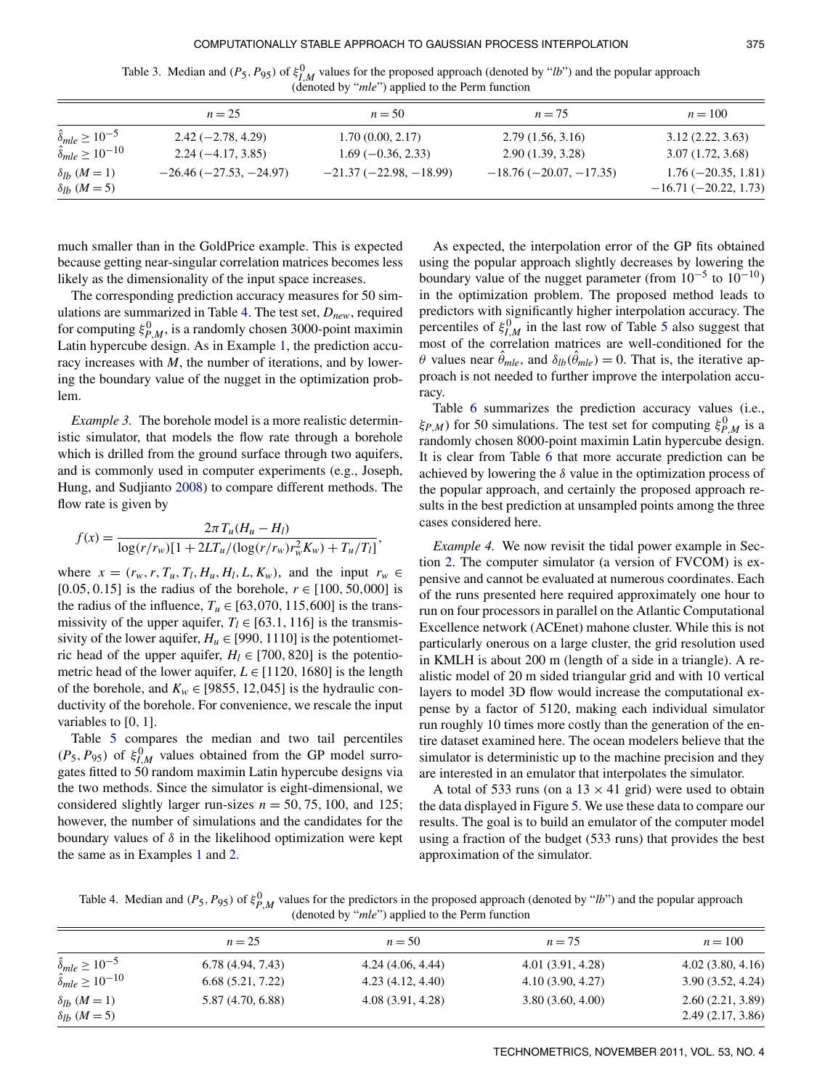Table 3. Median and  $(P_5, P_{95})$  of  $\xi_{I,M}^0$  values for the proposed approach (denoted by "*lb*") and the popular approach (denoted by "*mle*") applied to the Perm function

|                                                                        | $n = 25$                                   | $n = 50$                                | $n = 75$                             | $n=100$                                        |
|------------------------------------------------------------------------|--------------------------------------------|-----------------------------------------|--------------------------------------|------------------------------------------------|
| $\hat{\delta}_{mle} \ge 10^{-5}$<br>$\hat{\delta}_{mle} \geq 10^{-10}$ | $2.42(-2.78, 4.29)$<br>$2.24(-4.17, 3.85)$ | 1.70(0.00, 2.17)<br>$1.69(-0.36, 2.33)$ | 2.79(1.56, 3.16)<br>2.90(1.39, 3.28) | 3.12(2.22, 3.63)<br>3.07(1.72, 3.68)           |
| $\delta_{lb}$ ( <i>M</i> = 1)<br>$\delta_{lb}$ ( <i>M</i> = 5)         | $-26.46(-27.53,-24.97)$                    | $-21.37(-22.98, -18.99)$                | $-18.76(-20.07, -17.35)$             | $1.76(-20.35, 1.81)$<br>$-16.71(-20.22, 1.73)$ |

much smaller than in the GoldPrice example. This is expected because getting near-singular correlation matrices becomes less likely as the dimensionality of the input space increases.

The corresponding prediction accuracy measures for 50 simulations are summarized in Table 4. The test set, *Dnew*, required for computing  $\xi_{P,M}^0$ , is a randomly chosen 3000-point maximin Latin hypercube design. As in Example 1, the prediction accuracy increases with *M*, the number of iterations, and by lowering the boundary value of the nugget in the optimization problem.

*Example 3.* The borehole model is a more realistic deterministic simulator, that models the flow rate through a borehole which is drilled from the ground surface through two aquifers, and is commonly used in computer experiments (e.g., Joseph, Hung, and Sudjianto 2008) to compare different methods. The flow rate is given by

$$
f(x) = \frac{2\pi T_u (H_u - H_l)}{\log(r/r_w)[1 + 2LT_u/(\log(r/r_w)r_w^2 K_w) + T_u/T_l]}
$$

where  $x = (r_w, r, T_u, T_l, H_u, H_l, L, K_w)$ , and the input  $r_w \in$ [0.05, 0.15] is the radius of the borehole,  $r \in [100, 50, 000]$  is the radius of the influence,  $T_u \in [63,070, 115,600]$  is the transmissivity of the upper aquifer,  $T_l \in [63.1, 116]$  is the transmissivity of the lower aquifer,  $H_u \in [990, 1110]$  is the potentiometric head of the upper aquifer,  $H_l \in [700, 820]$  is the potentiometric head of the lower aquifer,  $L \in [1120, 1680]$  is the length of the borehole, and  $K_w \in [9855, 12,045]$  is the hydraulic conductivity of the borehole. For convenience, we rescale the input variables to [0, 1].

Table 5 compares the median and two tail percentiles  $(P_5, P_{95})$  of  $\xi_{I,M}^0$  values obtained from the GP model surrogates fitted to 50 random maximin Latin hypercube designs via the two methods. Since the simulator is eight-dimensional, we considered slightly larger run-sizes  $n = 50, 75, 100,$  and 125; however, the number of simulations and the candidates for the boundary values of  $\delta$  in the likelihood optimization were kept the same as in Examples 1 and 2.

As expected, the interpolation error of the GP fits obtained using the popular approach slightly decreases by lowering the boundary value of the nugget parameter (from  $10^{-5}$  to  $10^{-10}$ ) in the optimization problem. The proposed method leads to predictors with significantly higher interpolation accuracy. The percentiles of  $\xi_{I,M}^0$  in the last row of Table 5 also suggest that most of the correlation matrices are well-conditioned for the θ values near  $\hat{\theta}_{mle}$ , and  $\delta_{lb}(\hat{\theta}_{mle}) = 0$ . That is, the iterative approach is not needed to further improve the interpolation accuracy.

Table 6 summarizes the prediction accuracy values (i.e.,  $\xi_{P,M}$ ) for 50 simulations. The test set for computing  $\xi_{P,M}^0$  is a randomly chosen 8000-point maximin Latin hypercube design. It is clear from Table 6 that more accurate prediction can be achieved by lowering the  $\delta$  value in the optimization process of the popular approach, and certainly the proposed approach results in the best prediction at unsampled points among the three cases considered here.

*Example 4.* We now revisit the tidal power example in Section 2. The computer simulator (a version of FVCOM) is expensive and cannot be evaluated at numerous coordinates. Each of the runs presented here required approximately one hour to run on four processors in parallel on the Atlantic Computational Excellence network (ACEnet) mahone cluster. While this is not particularly onerous on a large cluster, the grid resolution used in KMLH is about 200 m (length of a side in a triangle). A realistic model of 20 m sided triangular grid and with 10 vertical layers to model 3D flow would increase the computational expense by a factor of 5120, making each individual simulator run roughly 10 times more costly than the generation of the entire dataset examined here. The ocean modelers believe that the simulator is deterministic up to the machine precision and they are interested in an emulator that interpolates the simulator.

A total of 533 runs (on a  $13 \times 41$  grid) were used to obtain the data displayed in Figure 5. We use these data to compare our results. The goal is to build an emulator of the computer model using a fraction of the budget (533 runs) that provides the best approximation of the simulator.

Table 4. Median and  $(P_5, P_{95})$  of  $\xi_{P,M}^0$  values for the predictors in the proposed approach (denoted by "*lb*") and the popular approach (denoted by "*mle*") applied to the Perm function

,

|                                                                       | $n=25$            | $n = 50$          | $n = 75$          | $n=100$                              |
|-----------------------------------------------------------------------|-------------------|-------------------|-------------------|--------------------------------------|
| $\hat{\delta}_{mle} \ge 10^{-5}$<br>$\hat{\delta}_{mle} \ge 10^{-10}$ | 6.78(4.94, 7.43)  | 4.24(4.06, 4.44)  | 4.01 (3.91, 4.28) | 4.02(3.80, 4.16)                     |
|                                                                       | 6.68(5.21, 7.22)  | 4.23(4.12, 4.40)  | 4.10(3.90, 4.27)  | 3.90(3.52, 4.24)                     |
| $\delta_{lb}$ ( <i>M</i> = 1)<br>$\delta_{lb}$ ( <i>M</i> = 5)        | 5.87 (4.70, 6.88) | 4.08 (3.91, 4.28) | 3.80(3.60, 4.00)  | 2.60(2.21, 3.89)<br>2.49(2.17, 3.86) |
|                                                                       |                   |                   |                   |                                      |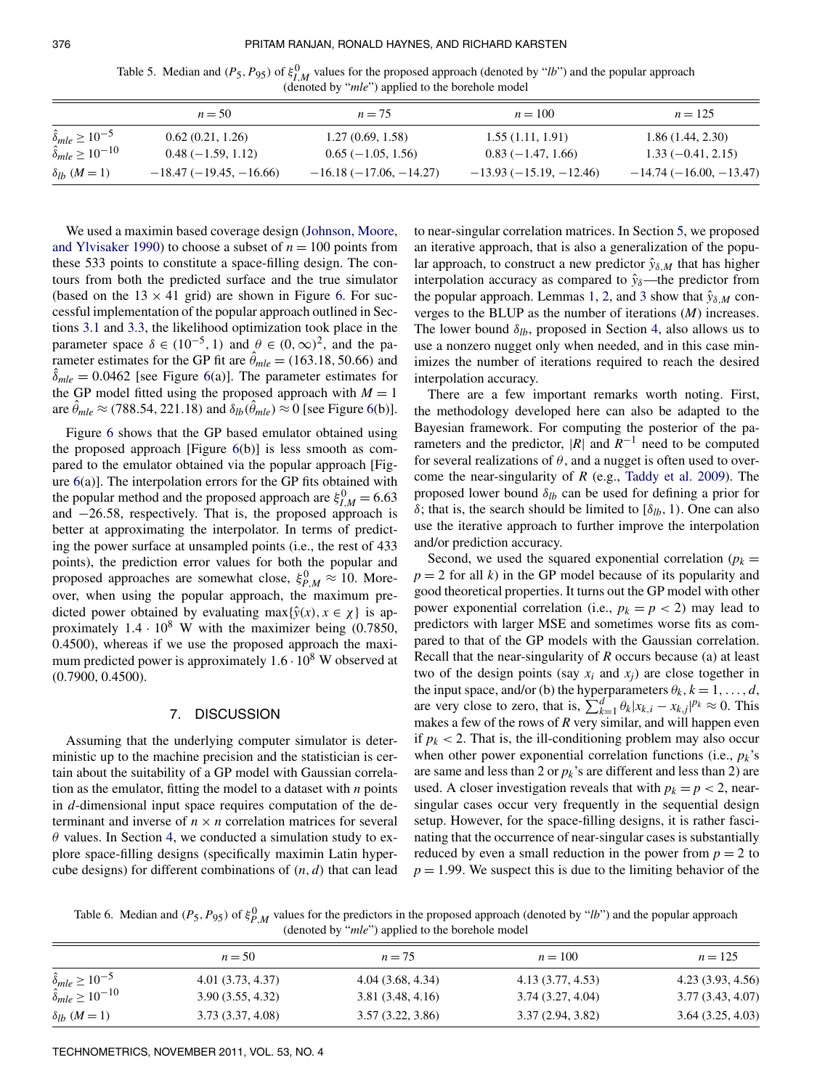$\alpha$ 

| Table 5. Median and $(P_5, P_{95})$ of $\xi_{l,M}^0$ values for the proposed approach (denoted by "lb") and the popular approach |                                                           |  |  |
|----------------------------------------------------------------------------------------------------------------------------------|-----------------------------------------------------------|--|--|
|                                                                                                                                  | (denoted by " <i>mle</i> ") applied to the borehole model |  |  |

|                                                                       | $n = 50$                                | $n = 75$                                | $n = 100$                               | $n = 125$                               |
|-----------------------------------------------------------------------|-----------------------------------------|-----------------------------------------|-----------------------------------------|-----------------------------------------|
| $\hat{\delta}_{mle} \ge 10^{-5}$<br>$\hat{\delta}_{mle} \ge 10^{-10}$ | 0.62(0.21, 1.26)<br>$0.48(-1.59, 1.12)$ | 1.27(0.69, 1.58)<br>$0.65(-1.05, 1.56)$ | 1.55(1.11, 1.91)<br>$0.83(-1.47, 1.66)$ | 1.86(1.44, 2.30)<br>$1.33(-0.41, 2.15)$ |
| $\delta_{lb}$ ( <i>M</i> = 1)                                         | $-18.47(-19.45,-16.66)$                 | $-16.18(-17.06, -14.27)$                | $-13.93(-15.19, -12.46)$                | $-14.74(-16.00, -13.47)$                |

We used a maximin based coverage design (Johnson, Moore, and Ylvisaker 1990) to choose a subset of  $n = 100$  points from these 533 points to constitute a space-filling design. The contours from both the predicted surface and the true simulator (based on the  $13 \times 41$  grid) are shown in Figure 6. For successful implementation of the popular approach outlined in Sections 3.1 and 3.3, the likelihood optimization took place in the parameter space  $\delta \in (10^{-5}, 1)$  and  $\theta \in (0, \infty)^2$ , and the parameter estimates for the GP fit are  $\hat{\theta}_{mle} = (163.18, 50.66)$  and  $\hat{\delta}_{mle} = 0.0462$  [see Figure 6(a)]. The parameter estimates for the GP model fitted using the proposed approach with  $M = 1$ are  $\hat{\theta}_{mle} \approx (788.54, 221.18)$  and  $\delta_{lb}(\hat{\theta}_{mle}) \approx 0$  [see Figure 6(b)].

Figure 6 shows that the GP based emulator obtained using the proposed approach [Figure 6(b)] is less smooth as compared to the emulator obtained via the popular approach [Figure 6(a)]. The interpolation errors for the GP fits obtained with the popular method and the proposed approach are  $\xi_{I,M}^0 = 6.63$ and −26.58, respectively. That is, the proposed approach is better at approximating the interpolator. In terms of predicting the power surface at unsampled points (i.e., the rest of 433 points), the prediction error values for both the popular and proposed approaches are somewhat close,  $\xi_{P,M}^0 \approx 10$ . Moreover, when using the popular approach, the maximum predicted power obtained by evaluating max $\{\hat{y}(x), x \in \chi\}$  is approximately  $1.4 \cdot 10^8$  W with the maximizer being (0.7850, 0.4500), whereas if we use the proposed approach the maximum predicted power is approximately  $1.6 \cdot 10^8$  W observed at (0.7900, 0.4500).

#### 7. DISCUSSION

Assuming that the underlying computer simulator is deterministic up to the machine precision and the statistician is certain about the suitability of a GP model with Gaussian correlation as the emulator, fitting the model to a dataset with *n* points in *d*-dimensional input space requires computation of the determinant and inverse of  $n \times n$  correlation matrices for several  $\theta$  values. In Section 4, we conducted a simulation study to explore space-filling designs (specifically maximin Latin hypercube designs) for different combinations of (*n*, *d*) that can lead to near-singular correlation matrices. In Section 5, we proposed an iterative approach, that is also a generalization of the popular approach, to construct a new predictor  $\hat{y}_{\delta,M}$  that has higher interpolation accuracy as compared to  $\hat{y}_\delta$ —the predictor from the popular approach. Lemmas 1, 2, and 3 show that  $\hat{y}_{\delta,M}$  converges to the BLUP as the number of iterations (*M*) increases. The lower bound  $\delta_{lb}$ , proposed in Section 4, also allows us to use a nonzero nugget only when needed, and in this case minimizes the number of iterations required to reach the desired interpolation accuracy.

There are a few important remarks worth noting. First, the methodology developed here can also be adapted to the Bayesian framework. For computing the posterior of the parameters and the predictor,  $|R|$  and  $R^{-1}$  need to be computed for several realizations of  $\theta$ , and a nugget is often used to overcome the near-singularity of *R* (e.g., Taddy et al. 2009). The proposed lower bound  $\delta_{lb}$  can be used for defining a prior for δ; that is, the search should be limited to  $[δ<sub>lb</sub>, 1)$ . One can also use the iterative approach to further improve the interpolation and/or prediction accuracy.

Second, we used the squared exponential correlation ( $p_k =$  $p = 2$  for all *k*) in the GP model because of its popularity and good theoretical properties. It turns out the GP model with other power exponential correlation (i.e.,  $p_k = p < 2$ ) may lead to predictors with larger MSE and sometimes worse fits as compared to that of the GP models with the Gaussian correlation. Recall that the near-singularity of *R* occurs because (a) at least two of the design points (say  $x_i$  and  $x_j$ ) are close together in the input space, and/or (b) the hyperparameters  $\theta_k$ ,  $k = 1, ..., d$ , are very close to zero, that is,  $\sum_{k=1}^{d} \theta_k |x_{k,i} - x_{k,j}|^{p_k} \approx 0$ . This makes a few of the rows of *R* very similar, and will happen even if  $p_k$  < 2. That is, the ill-conditioning problem may also occur when other power exponential correlation functions (i.e., *pk*'s are same and less than 2 or  $p_k$ 's are different and less than 2) are used. A closer investigation reveals that with  $p_k = p < 2$ , nearsingular cases occur very frequently in the sequential design setup. However, for the space-filling designs, it is rather fascinating that the occurrence of near-singular cases is substantially reduced by even a small reduction in the power from  $p = 2$  to  $p = 1.99$ . We suspect this is due to the limiting behavior of the

Table 6. Median and  $(P_5, P_{95})$  of  $\xi_{P,M}^0$  values for the predictors in the proposed approach (denoted by "*lb*") and the popular approach (denoted by "*mle*") applied to the borehole model

|                                   | $n = 50$          | $n = 75$         | $n = 100$         | $n = 125$         |
|-----------------------------------|-------------------|------------------|-------------------|-------------------|
|                                   |                   |                  |                   |                   |
| $\hat{\delta}_{mle} \ge 10^{-5}$  | 4.01 (3.73, 4.37) | 4.04(3.68, 4.34) | 4.13 (3.77, 4.53) | 4.23 (3.93, 4.56) |
| $\hat{\delta}_{mle} \ge 10^{-10}$ | 3.90(3.55, 4.32)  | 3.81(3.48, 4.16) | 3.74(3.27, 4.04)  | 3.77(3.43, 4.07)  |
| $\delta_{lb}$ ( <i>M</i> = 1)     | 3.73 (3.37, 4.08) | 3.57(3.22, 3.86) | 3.37(2.94, 3.82)  | 3.64(3.25, 4.03)  |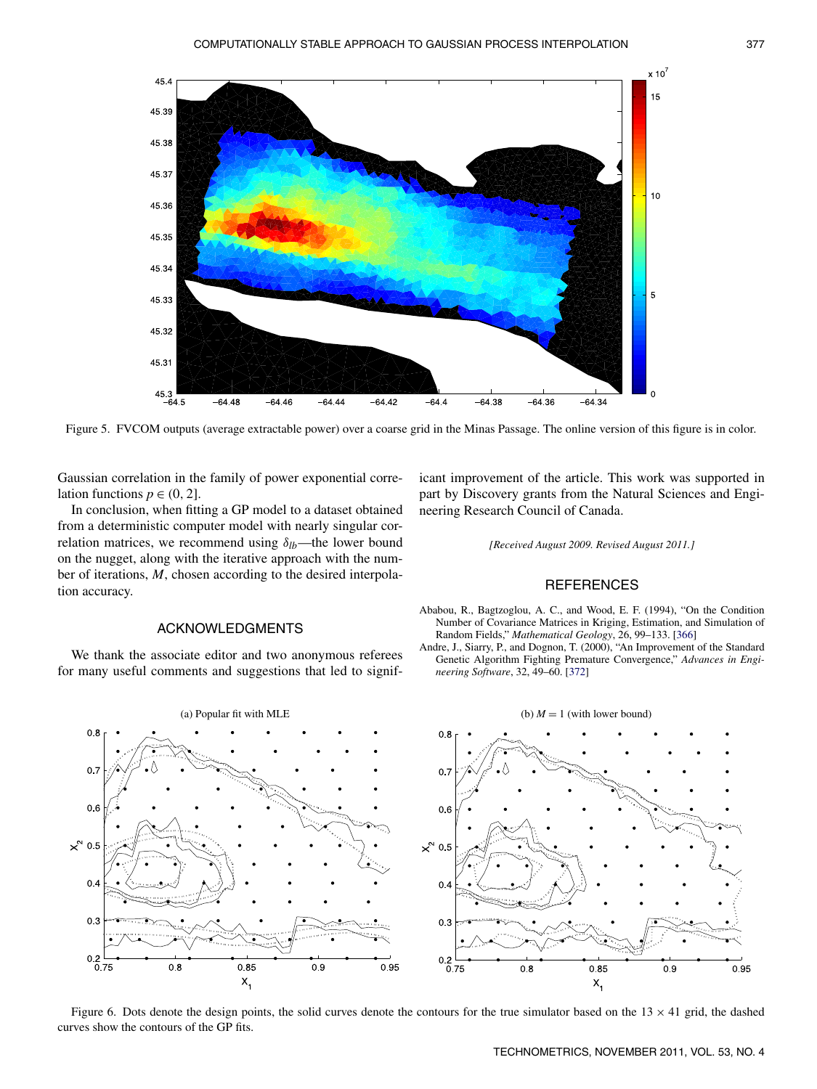

Figure 5. FVCOM outputs (average extractable power) over a coarse grid in the Minas Passage. The online version of this figure is in color.

Gaussian correlation in the family of power exponential correlation functions  $p \in (0, 2]$ .

In conclusion, when fitting a GP model to a dataset obtained from a deterministic computer model with nearly singular correlation matrices, we recommend using  $\delta_{lb}$ —the lower bound on the nugget, along with the iterative approach with the number of iterations, *M*, chosen according to the desired interpolation accuracy.

# ACKNOWLEDGMENTS

We thank the associate editor and two anonymous referees for many useful comments and suggestions that led to significant improvement of the article. This work was supported in part by Discovery grants from the Natural Sciences and Engineering Research Council of Canada.

*[Received August 2009. Revised August 2011.]*

## **REFERENCES**

- Ababou, R., Bagtzoglou, A. C., and Wood, E. F. (1994), "On the Condition Number of Covariance Matrices in Kriging, Estimation, and Simulation of Random Fields," *Mathematical Geology*, 26, 99–133. [366]
- Andre, J., Siarry, P., and Dognon, T. (2000), "An Improvement of the Standard Genetic Algorithm Fighting Premature Convergence," *Advances in Engineering Software*, 32, 49–60. [372]



Figure 6. Dots denote the design points, the solid curves denote the contours for the true simulator based on the  $13 \times 41$  grid, the dashed curves show the contours of the GP fits.